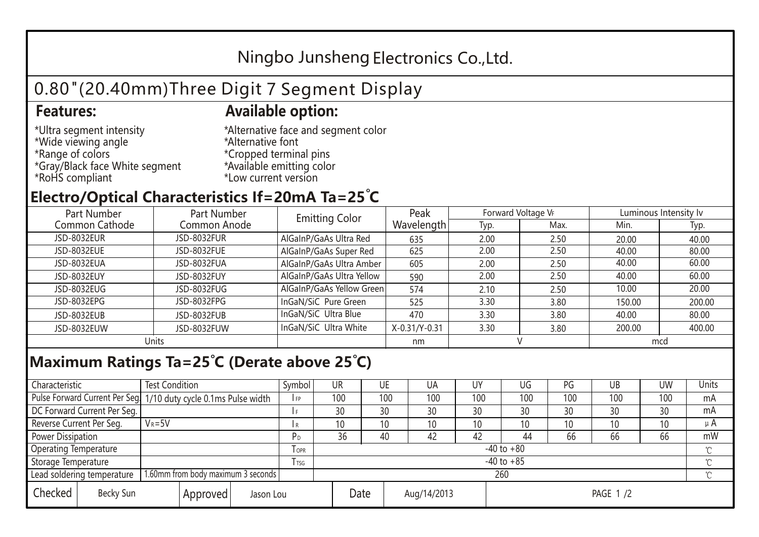## Ningbo Junsheng Electronics Co.,Ltd.

# 0.80"(20.40mm)Three Digit 7 Segment Display

#### **Features: Available option:**

- \*Ultra segment intensity \*Wide viewing angle \*Range of colors \*Gray/Black face White segment \*RoHS compliant
- \*Alternative face and segment color \*Alternative font \*Cropped terminal pins \*Available emitting color \*Low current version

#### **Electro/Optical Characteristics If=20mA Ta=25 C**

| Part Number<br>Part Number |              | <b>Emitting Color</b>     | Peak          | Forward Voltage VF |      | Luminous Intensity Iv |        |  |
|----------------------------|--------------|---------------------------|---------------|--------------------|------|-----------------------|--------|--|
| Common Cathode             | Common Anode |                           | Wavelength    | Typ.               | Max. | Min.                  | Typ.   |  |
| JSD-8032EUR                | JSD-8032FUR  | AlGaInP/GaAs Ultra Red    | 635           | 2.00               | 2.50 | 20.00                 | 40.00  |  |
| JSD-8032EUE                | JSD-8032FUE  | AlGaInP/GaAs Super Red    | 625           | 2.00               | 2.50 | 40.00                 | 80.00  |  |
| JSD-8032EUA                | JSD-8032FUA  | AlGaInP/GaAs Ultra Amber  | 605           | 2.00               | 2.50 | 40.00                 | 60.00  |  |
| JSD-8032EUY                | JSD-8032FUY  | AlGaInP/GaAs Ultra Yellow | 590           | 2.00               | 2.50 | 40.00                 | 60.00  |  |
| JSD-8032EUG                | JSD-8032FUG  | AlGaInP/GaAs Yellow Green | 574           | 2.10               | 2.50 | 10.00                 | 20.00  |  |
| JSD-8032EPG                | JSD-8032FPG  | InGaN/SiC Pure Green      | 525           | 3.30               | 3.80 | 150.00                | 200.00 |  |
| JSD-8032EUB                | JSD-8032FUB  | InGaN/SiC Ultra Blue      | 470           | 3.30               | 3.80 | 40.00                 | 80.00  |  |
| JSD-8032EUW                | JSD-8032FUW  | InGaN/SiC Ultra White     | X-0.31/Y-0.31 | 3.30               | 3.80 | 200.00                | 400.00 |  |
| Units                      |              |                           | nm            |                    |      | mcd                   |        |  |

### **Maximum Ratings Ta=25°C (Derate above 25°C)**

| Characteristic                                |  | <b>Test Condition</b>                                            |                     |                | Symbol         | UR  |          | UE  | UA  | UY  | UG              | PG  | UB           | <b>UW</b> | Units   |
|-----------------------------------------------|--|------------------------------------------------------------------|---------------------|----------------|----------------|-----|----------|-----|-----|-----|-----------------|-----|--------------|-----------|---------|
|                                               |  | Pulse Forward Current Per Seg. 1/10 duty cycle 0.1ms Pulse width |                     |                | IFP            | 100 |          | 100 | 100 | 100 | 100             | 100 | 100          | 100       | mA      |
| DC Forward Current Per Seg.                   |  |                                                                  |                     |                |                | 30  |          | 30  | 30  | 30  | 30              | 30  | 30           | 30        | mA      |
| Reverse Current Per Seg.                      |  | $V_R = 5V$                                                       |                     |                | I R            | 10  |          | 10  | 10  | 10  | 10 <sup>°</sup> | 10  | 10           | 10        | $\mu$ A |
| <b>Power Dissipation</b>                      |  |                                                                  |                     |                | P <sub>D</sub> | 36  |          | 40  | 42  | 42  | 44              | 66  | 66           | 66        | mW      |
| <b>Operating Temperature</b>                  |  |                                                                  | $I$ OPR             | $-40$ to $+80$ |                |     |          |     |     |     |                 |     | $\gamma$     |           |         |
| Storage Temperature                           |  |                                                                  | I TSG               | $-40$ to $+85$ |                |     |          |     |     |     |                 |     | $^{\circ}$ C |           |         |
| Lead soldering temperature                    |  | 1.60mm from body maximum 3 seconds                               |                     |                |                | 260 |          |     |     |     |                 |     |              |           |         |
| Checked<br>Becky Sun<br>Approved<br>Jason Lou |  |                                                                  | Date<br>Aug/14/2013 |                |                |     | PAGE 1/2 |     |     |     |                 |     |              |           |         |